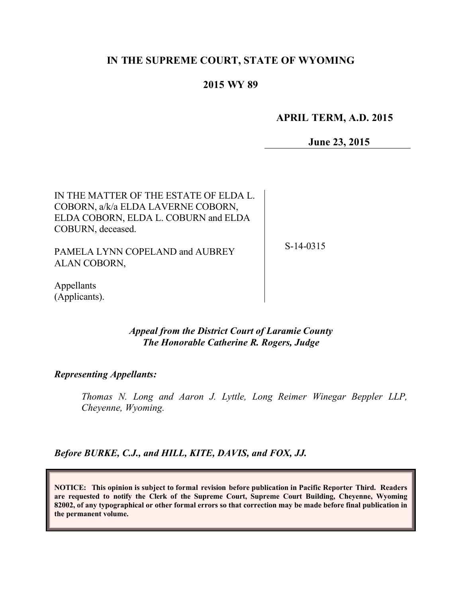## **IN THE SUPREME COURT, STATE OF WYOMING**

## **2015 WY 89**

 **APRIL TERM, A.D. 2015**

**June 23, 2015**

IN THE MATTER OF THE ESTATE OF ELDA L. COBORN, a/k/a ELDA LAVERNE COBORN, ELDA COBORN, ELDA L. COBURN and ELDA COBURN, deceased.

PAMELA LYNN COPELAND and AUBREY ALAN COBORN,

S-14-0315

Appellants (Applicants).

> *Appeal from the District Court of Laramie County The Honorable Catherine R. Rogers, Judge*

*Representing Appellants:*

*Thomas N. Long and Aaron J. Lyttle, Long Reimer Winegar Beppler LLP, Cheyenne, Wyoming.*

*Before BURKE, C.J., and HILL, KITE, DAVIS, and FOX, JJ.*

**NOTICE: This opinion is subject to formal revision before publication in Pacific Reporter Third. Readers are requested to notify the Clerk of the Supreme Court, Supreme Court Building, Cheyenne, Wyoming 82002, of any typographical or other formal errors so that correction may be made before final publication in the permanent volume.**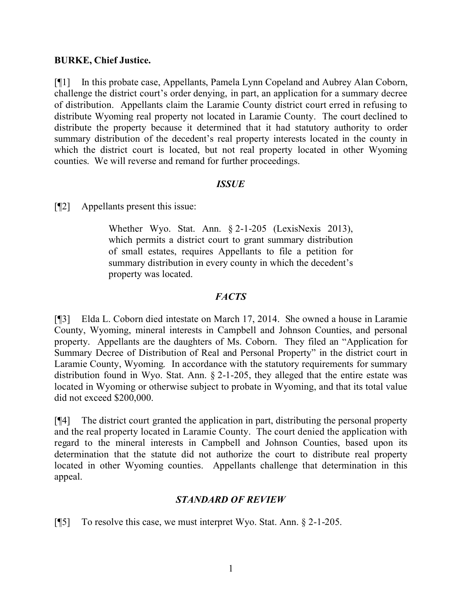#### **BURKE, Chief Justice.**

[¶1] In this probate case, Appellants, Pamela Lynn Copeland and Aubrey Alan Coborn, challenge the district court's order denying, in part, an application for a summary decree of distribution. Appellants claim the Laramie County district court erred in refusing to distribute Wyoming real property not located in Laramie County. The court declined to distribute the property because it determined that it had statutory authority to order summary distribution of the decedent's real property interests located in the county in which the district court is located, but not real property located in other Wyoming counties. We will reverse and remand for further proceedings.

#### *ISSUE*

[¶2] Appellants present this issue:

Whether Wyo. Stat. Ann. § 2-1-205 (LexisNexis 2013), which permits a district court to grant summary distribution of small estates, requires Appellants to file a petition for summary distribution in every county in which the decedent's property was located.

#### *FACTS*

[¶3] Elda L. Coborn died intestate on March 17, 2014. She owned a house in Laramie County, Wyoming, mineral interests in Campbell and Johnson Counties, and personal property. Appellants are the daughters of Ms. Coborn. They filed an "Application for Summary Decree of Distribution of Real and Personal Property" in the district court in Laramie County, Wyoming. In accordance with the statutory requirements for summary distribution found in Wyo. Stat. Ann. § 2-1-205, they alleged that the entire estate was located in Wyoming or otherwise subject to probate in Wyoming, and that its total value did not exceed \$200,000.

[¶4] The district court granted the application in part, distributing the personal property and the real property located in Laramie County. The court denied the application with regard to the mineral interests in Campbell and Johnson Counties, based upon its determination that the statute did not authorize the court to distribute real property located in other Wyoming counties. Appellants challenge that determination in this appeal.

### *STANDARD OF REVIEW*

[¶5] To resolve this case, we must interpret Wyo. Stat. Ann. § 2-1-205.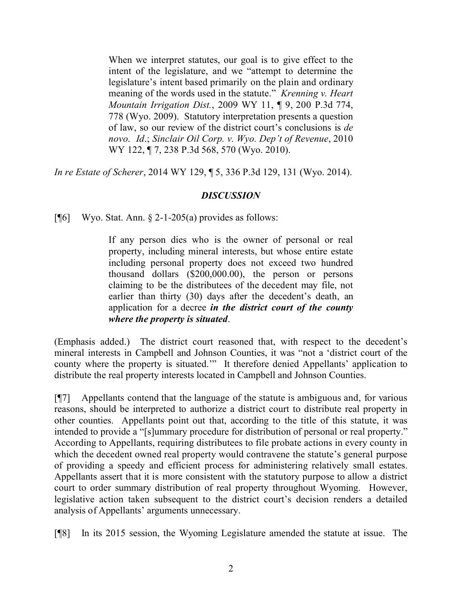When we interpret statutes, our goal is to give effect to the intent of the legislature, and we "attempt to determine the legislature's intent based primarily on the plain and ordinary meaning of the words used in the statute." *Krenning v. Heart Mountain Irrigation Dist.*, 2009 WY 11, ¶ 9, 200 P.3d 774, 778 (Wyo. 2009). Statutory interpretation presents a question of law, so our review of the district court's conclusions is *de novo*. *Id*.; *Sinclair Oil Corp. v. Wyo. Dep't of Revenue*, 2010 WY 122, ¶ 7, 238 P.3d 568, 570 (Wyo. 2010).

*In re Estate of Scherer*, 2014 WY 129, ¶ 5, 336 P.3d 129, 131 (Wyo. 2014).

# *DISCUSSION*

[ $[$ 6] Wyo. Stat. Ann. § 2-1-205(a) provides as follows:

If any person dies who is the owner of personal or real property, including mineral interests, but whose entire estate including personal property does not exceed two hundred thousand dollars (\$200,000.00), the person or persons claiming to be the distributees of the decedent may file, not earlier than thirty (30) days after the decedent's death, an application for a decree *in the district court of the county where the property is situated*.

(Emphasis added.) The district court reasoned that, with respect to the decedent's mineral interests in Campbell and Johnson Counties, it was "not a 'district court of the county where the property is situated.'" It therefore denied Appellants' application to distribute the real property interests located in Campbell and Johnson Counties.

[¶7] Appellants contend that the language of the statute is ambiguous and, for various reasons, should be interpreted to authorize a district court to distribute real property in other counties. Appellants point out that, according to the title of this statute, it was intended to provide a "[s]ummary procedure for distribution of personal or real property." According to Appellants, requiring distributees to file probate actions in every county in which the decedent owned real property would contravene the statute's general purpose of providing a speedy and efficient process for administering relatively small estates. Appellants assert that it is more consistent with the statutory purpose to allow a district court to order summary distribution of real property throughout Wyoming. However, legislative action taken subsequent to the district court's decision renders a detailed analysis of Appellants' arguments unnecessary.

[¶8] In its 2015 session, the Wyoming Legislature amended the statute at issue. The